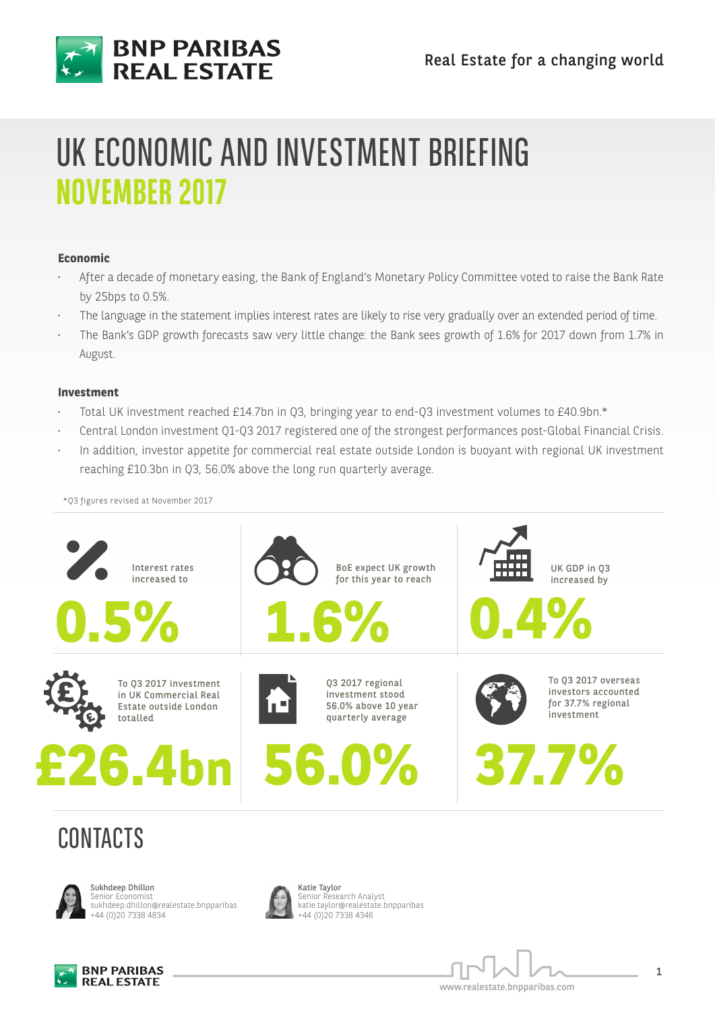

## UK ECONOMIC AND INVESTMENT BRIEFING **NOVEMBER 2017**

### **Economic**

- After a decade of monetary easing, the Bank of England's Monetary Policy Committee voted to raise the Bank Rate by 25bps to 0.5%.
- The language in the statement implies interest rates are likely to rise very gradually over an extended period of time.
- The Bank's GDP growth forecasts saw very little change: the Bank sees growth of 1.6% for 2017 down from 1.7% in August.

### **Investment**

- Total UK investment reached £14.7bn in Q3, bringing year to end-Q3 investment volumes to £40.9bn.\*
- Central London investment Q1-Q3 2017 registered one of the strongest performances post-Global Financial Crisis.
- In addition, investor appetite for commercial real estate outside London is buoyant with regional UK investment reaching £10.3bn in Q3, 56.0% above the long run quarterly average.

\*Q3 figures revised at November 2017



## CONTACTS



Sukhdeep Dhillon Senior Economist sukhdeep.dhillon@realestate.bnpparibas +44 (0)20 7338 4834



Katie Taylor Senior Research Analyst katie.taylor@realestate.bnpparibas +44 (0)20 7338 4346



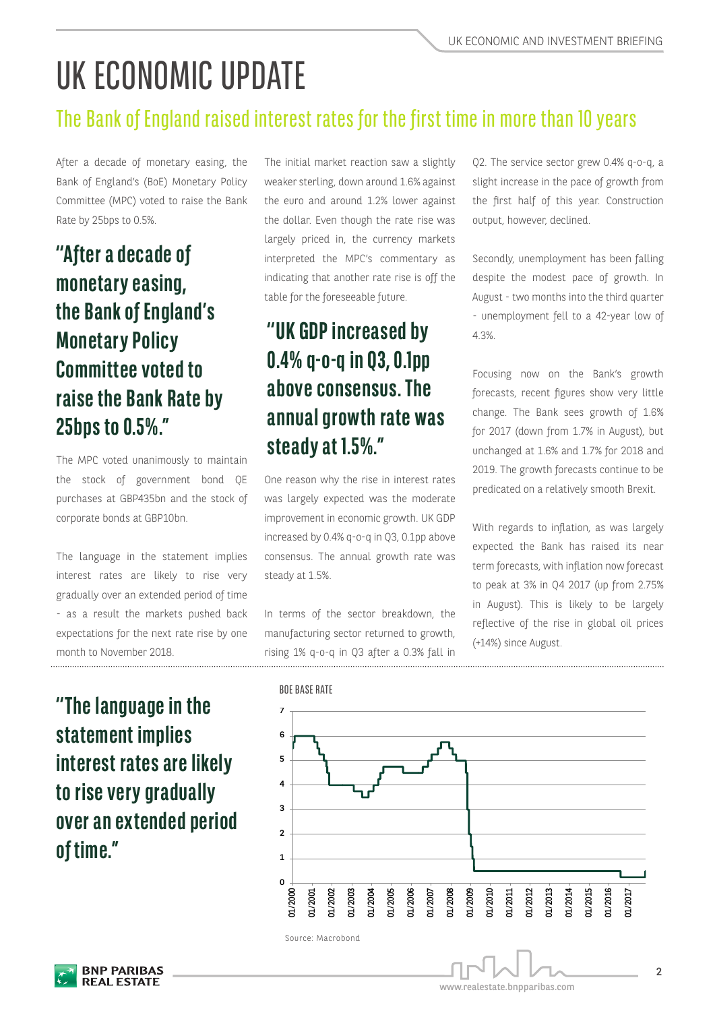## UK ECONOMIC UPDATE

### The Bank of England raised interest rates for the first time in more than 10 years

After a decade of monetary easing, the Bank of England's (BoE) Monetary Policy Committee (MPC) voted to raise the Bank Rate by 25bps to 0.5%.

### **''After a decade of monetary easing, the Bank of England's Monetary Policy Committee voted to raise the Bank Rate by 25bps to 0.5%."**

The MPC voted unanimously to maintain the stock of government bond QE purchases at GBP435bn and the stock of corporate bonds at GBP10bn.

The language in the statement implies interest rates are likely to rise very gradually over an extended period of time - as a result the markets pushed back expectations for the next rate rise by one month to November 2018.

The initial market reaction saw a slightly weaker sterling, down around 1.6% against the euro and around 1.2% lower against the dollar. Even though the rate rise was largely priced in, the currency markets interpreted the MPC's commentary as indicating that another rate rise is off the table for the foreseeable future.

### **''UK GDP increased by 0.4% q-o-q in Q3, 0.1pp above consensus. The annual growth rate was steady at 1.5%."**

One reason why the rise in interest rates was largely expected was the moderate improvement in economic growth. UK GDP increased by 0.4% q-o-q in Q3, 0.1pp above consensus. The annual growth rate was steady at 1.5%.

In terms of the sector breakdown, the manufacturing sector returned to growth, rising 1% q-o-q in Q3 after a 0.3% fall in Q2. The service sector grew 0.4% q-o-q, a slight increase in the pace of growth from the first half of this year. Construction output, however, declined.

Secondly, unemployment has been falling despite the modest pace of growth. In August - two months into the third quarter - unemployment fell to a 42-year low of 4.3%.

Focusing now on the Bank's growth forecasts, recent figures show very little change. The Bank sees growth of 1.6% for 2017 (down from 1.7% in August), but unchanged at 1.6% and 1.7% for 2018 and 2019. The growth forecasts continue to be predicated on a relatively smooth Brexit.

With regards to inflation, as was largely expected the Bank has raised its near term forecasts, with inflation now forecast to peak at 3% in Q4 2017 (up from 2.75% in August). This is likely to be largely reflective of the rise in global oil prices (+14%) since August.

**''The language in the statement implies interest rates are likely to rise very gradually over an extended period of time."**